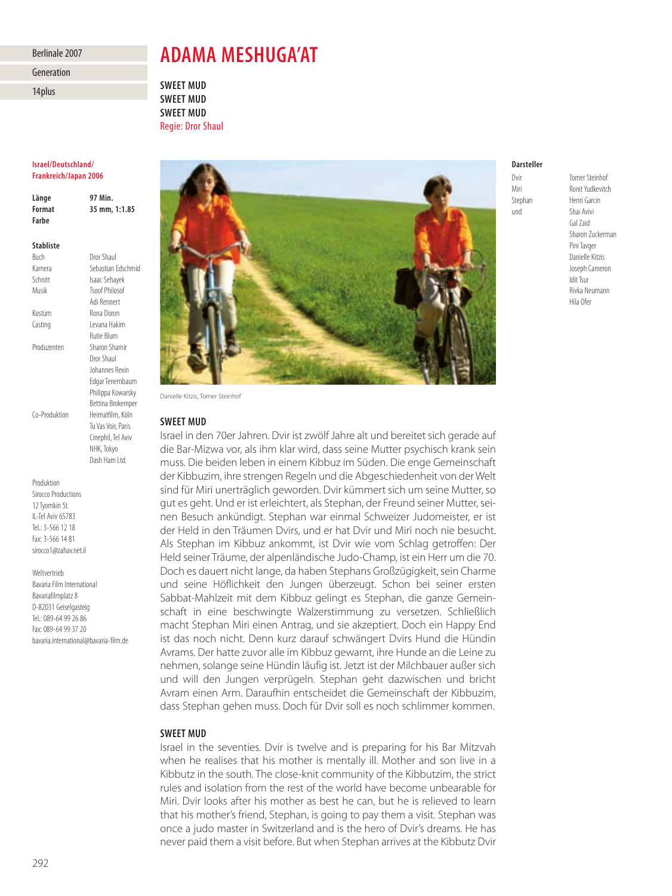## Berlinale 2007

Generation

14plus

# **ADAMA MESHUGA'AT**

**SWEET MUD SWEET MUD SWEET MUD** Regie: Dror Shaul

### **Israel/Deutschland/ Frankreich/Japan 2006**

**Länge 97 Min. Format 35 mm, 1:1.85 Farbe Stabliste**

Buch Dror Shaul Kamera Sebastian Edschmid Schnitt Isaac Sehayek<br>Musik Tsoof Philosof Tsoof Philosof Adi Rennert Kostüm Rona Doron Casting Levana Hakim Rutie Blum Produzenten Sharon Shamir Dror Shaul Johannes Rexin Edgar Tenembaum Philippa Kowarsky Bettina Brokemper Co-Produktion Heimatfilm, Köln Tu Vas Voir, Paris Cinephil, Tel Aviv NHK, Tokyo

Dash Ham Ltd.

Produktion Sirocco Productions 12 Tyomkin St. IL-Tel Aviv 65783 Tel.: 3-566 12 18 Fax: 3-566 14 81 sirocco1@zahav.net.il

#### Weltvertrieb

Bavaria Film International Bavariafilmplatz 8 D-82031 Geiselgasteig Tel.: 089-64 99 26 86 Fax: 089-64 99 37 20 bavaria.international@bavaria-film.de



Danielle Kitzis, Tomer Steinhof

## **SWEET MUD**

Israel in den 70er Jahren. Dvir ist zwölf Jahre alt und bereitet sich gerade auf die Bar-Mizwa vor, als ihm klar wird, dass seine Mutter psychisch krank sein muss. Die beiden leben in einem Kibbuz im Süden. Die enge Gemeinschaft der Kibbuzim, ihre strengen Regeln und die Abgeschiedenheit von der Welt sind für Miri unerträglich geworden. Dvir kümmert sich um seine Mutter, so gut es geht. Und er ist erleichtert, als Stephan, der Freund seiner Mutter, seinen Besuch ankündigt. Stephan war einmal Schweizer Judomeister, er ist der Held in den Träumen Dvirs, und er hat Dvir und Miri noch nie besucht. Als Stephan im Kibbuz ankommt, ist Dvir wie vom Schlag getroffen: Der Held seiner Träume, der alpenländische Judo-Champ, ist ein Herr um die 70. Doch es dauert nicht lange, da haben Stephans Großzügigkeit, sein Charme und seine Höflichkeit den Jungen überzeugt. Schon bei seiner ersten Sabbat-Mahlzeit mit dem Kibbuz gelingt es Stephan, die ganze Gemeinschaft in eine beschwingte Walzerstimmung zu versetzen. Schließlich macht Stephan Miri einen Antrag, und sie akzeptiert. Doch ein Happy End ist das noch nicht. Denn kurz darauf schwängert Dvirs Hund die Hündin Avrams. Der hatte zuvor alle im Kibbuz gewarnt, ihre Hunde an die Leine zu nehmen, solange seine Hündin läufig ist. Jetzt ist der Milchbauer außer sich und will den Jungen verprügeln. Stephan geht dazwischen und bricht Avram einen Arm. Daraufhin entscheidet die Gemeinschaft der Kibbuzim, dass Stephan gehen muss. Doch für Dvir soll es noch schlimmer kommen.

## **SWEET MUD**

Israel in the seventies. Dvir is twelve and is preparing for his Bar Mitzvah when he realises that his mother is mentally ill. Mother and son live in a Kibbutz in the south. The close-knit community of the Kibbutzim, the strict rules and isolation from the rest of the world have become unbearable for Miri. Dvir looks after his mother as best he can, but he is relieved to learn that his mother's friend, Stephan, is going to pay them a visit. Stephan was once a judo master in Switzerland and is the hero of Dvir's dreams. He has never paid them a visit before. But when Stephan arrives at the Kibbutz Dvir

# **Darsteller**

und Shai Avivi

Dvir Tomer Steinhof Ronit Yudkevitch Stephan Henri Garcin Gal Zaid Sharon Zuckerman Pini Tavger Danielle Kitzis Joseph Cameron Idit Tsur Rivka Neumann Hila Ofer